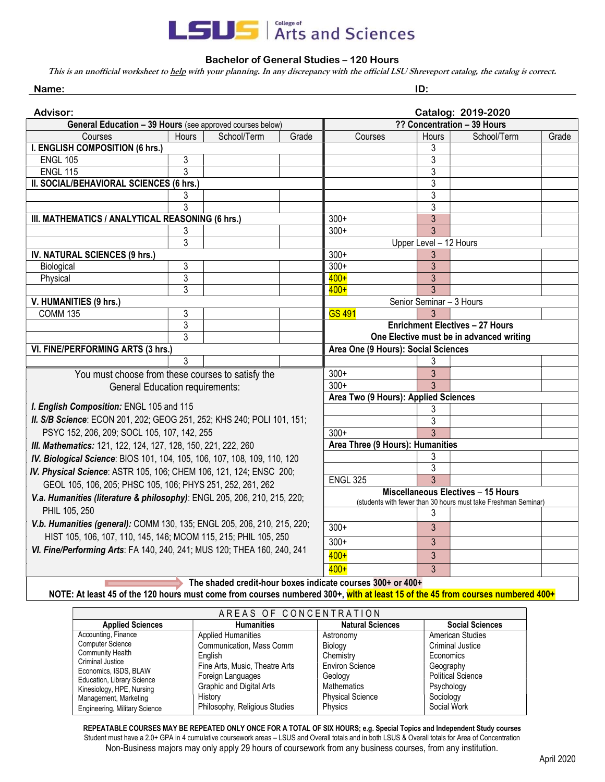

## Bachelor of General Studies – 120 Hours

This is an unofficial worksheet to help with your planning. In any discrepancy with the official LSU Shreveport catalog, the catalog is correct.

| Name:                                                                                                                          | ID:            |             |                                                                |                                          |                        |                                        |       |
|--------------------------------------------------------------------------------------------------------------------------------|----------------|-------------|----------------------------------------------------------------|------------------------------------------|------------------------|----------------------------------------|-------|
| <b>Advisor:</b>                                                                                                                |                |             |                                                                |                                          |                        | Catalog: 2019-2020                     |       |
| General Education - 39 Hours (see approved courses below)                                                                      |                |             |                                                                | ?? Concentration - 39 Hours              |                        |                                        |       |
| Courses                                                                                                                        | Hours          | School/Term | Grade                                                          | Courses                                  | Hours                  | School/Term                            | Grade |
| I. ENGLISH COMPOSITION (6 hrs.)                                                                                                |                |             |                                                                |                                          | 3                      |                                        |       |
| <b>ENGL 105</b>                                                                                                                | 3              |             |                                                                |                                          | $\overline{3}$         |                                        |       |
| <b>ENGL 115</b>                                                                                                                | 3              |             |                                                                |                                          | 3                      |                                        |       |
| II. SOCIAL/BEHAVIORAL SCIENCES (6 hrs.)                                                                                        |                |             |                                                                |                                          | 3                      |                                        |       |
|                                                                                                                                | 3              |             |                                                                |                                          | 3                      |                                        |       |
|                                                                                                                                | 3              |             |                                                                |                                          | 3                      |                                        |       |
| III. MATHEMATICS / ANALYTICAL REASONING (6 hrs.)                                                                               |                |             |                                                                | $300+$                                   | 3                      |                                        |       |
|                                                                                                                                | 3              |             |                                                                | $300+$                                   | 3                      |                                        |       |
|                                                                                                                                | $\overline{3}$ |             |                                                                |                                          | Upper Level - 12 Hours |                                        |       |
| IV. NATURAL SCIENCES (9 hrs.)                                                                                                  |                |             |                                                                | $300+$                                   | 3                      |                                        |       |
| Biological                                                                                                                     | 3              |             |                                                                | $300+$                                   | 3                      |                                        |       |
| Physical                                                                                                                       | 3              |             |                                                                | $400+$                                   | 3                      |                                        |       |
|                                                                                                                                | 3              |             |                                                                | $400+$                                   | $\overline{3}$         |                                        |       |
| V. HUMANITIES (9 hrs.)                                                                                                         |                |             | Senior Seminar - 3 Hours                                       |                                          |                        |                                        |       |
| <b>COMM 135</b>                                                                                                                | 3              |             |                                                                | <b>GS 491</b>                            |                        |                                        |       |
|                                                                                                                                | $\overline{3}$ |             |                                                                |                                          |                        | <b>Enrichment Electives - 27 Hours</b> |       |
|                                                                                                                                | 3              |             |                                                                | One Elective must be in advanced writing |                        |                                        |       |
| VI. FINE/PERFORMING ARTS (3 hrs.)                                                                                              |                |             |                                                                | Area One (9 Hours): Social Sciences      |                        |                                        |       |
|                                                                                                                                | 3              |             |                                                                |                                          | 3                      |                                        |       |
| You must choose from these courses to satisfy the                                                                              |                |             | $300+$                                                         | 3                                        |                        |                                        |       |
| <b>General Education requirements:</b>                                                                                         |                |             |                                                                | $300+$                                   | 3                      |                                        |       |
|                                                                                                                                |                |             |                                                                | Area Two (9 Hours): Applied Sciences     |                        |                                        |       |
| I. English Composition: ENGL 105 and 115                                                                                       |                |             |                                                                | 3                                        |                        |                                        |       |
| II. S/B Science: ECON 201, 202; GEOG 251, 252; KHS 240; POLI 101, 151;                                                         |                |             |                                                                | 3                                        |                        |                                        |       |
| PSYC 152, 206, 209; SOCL 105, 107, 142, 255                                                                                    |                |             |                                                                | $300+$                                   | 3                      |                                        |       |
| III. Mathematics: 121, 122, 124, 127, 128, 150, 221, 222, 260                                                                  |                |             |                                                                | Area Three (9 Hours): Humanities         |                        |                                        |       |
| IV. Biological Science: BIOS 101, 104, 105, 106, 107, 108, 109, 110, 120                                                       |                |             |                                                                | 3<br>$\overline{3}$                      |                        |                                        |       |
| IV. Physical Science: ASTR 105, 106; CHEM 106, 121, 124; ENSC 200;                                                             |                |             | <b>ENGL 325</b>                                                | 3                                        |                        |                                        |       |
| GEOL 105, 106, 205; PHSC 105, 106; PHYS 251, 252, 261, 262                                                                     |                |             |                                                                | Miscellaneous Electives - 15 Hours       |                        |                                        |       |
| V.a. Humanities (literature & philosophy): ENGL 205, 206, 210, 215, 220;                                                       |                |             | (students with fewer than 30 hours must take Freshman Seminar) |                                          |                        |                                        |       |
| PHIL 105, 250                                                                                                                  |                |             |                                                                |                                          | 3                      |                                        |       |
| V.b. Humanities (general): COMM 130, 135; ENGL 205, 206, 210, 215, 220;                                                        |                |             |                                                                | $300+$                                   | 3                      |                                        |       |
| HIST 105, 106, 107, 110, 145, 146; MCOM 115, 215; PHIL 105, 250                                                                |                |             |                                                                |                                          |                        |                                        |       |
| VI. Fine/Performing Arts: FA 140, 240, 241; MUS 120; THEA 160, 240, 241                                                        |                |             |                                                                | $300+$                                   | 3                      |                                        |       |
|                                                                                                                                |                |             |                                                                | $400+$                                   | 3                      |                                        |       |
|                                                                                                                                |                |             |                                                                | $400+$                                   | 3                      |                                        |       |
| The shaded credit-hour boxes indicate courses 300+ or 400+                                                                     |                |             |                                                                |                                          |                        |                                        |       |
| NOTE: At least 45 of the 120 hours must come from courses numbered 300+, with at least 15 of the 45 from courses numbered 400+ |                |             |                                                                |                                          |                        |                                        |       |

| AREAS OF CONCENTRATION                                                                                                                                                            |                                |                         |                          |  |  |  |  |  |
|-----------------------------------------------------------------------------------------------------------------------------------------------------------------------------------|--------------------------------|-------------------------|--------------------------|--|--|--|--|--|
| <b>Applied Sciences</b>                                                                                                                                                           | <b>Humanities</b>              | <b>Natural Sciences</b> | <b>Social Sciences</b>   |  |  |  |  |  |
| Accounting, Finance<br><b>Computer Science</b><br><b>Community Health</b><br>Criminal Justice<br>Economics, ISDS, BLAW<br>Education, Library Science<br>Kinesiology, HPE, Nursing | <b>Applied Humanities</b>      | Astronomy               | <b>American Studies</b>  |  |  |  |  |  |
|                                                                                                                                                                                   | Communication, Mass Comm       | Biology                 | <b>Criminal Justice</b>  |  |  |  |  |  |
|                                                                                                                                                                                   | English                        | Chemistry               | Economics                |  |  |  |  |  |
|                                                                                                                                                                                   | Fine Arts, Music, Theatre Arts | <b>Environ Science</b>  | Geography                |  |  |  |  |  |
|                                                                                                                                                                                   | Foreign Languages              | Geology                 | <b>Political Science</b> |  |  |  |  |  |
|                                                                                                                                                                                   | Graphic and Digital Arts       | <b>Mathematics</b>      | Psychology               |  |  |  |  |  |
| Management, Marketing                                                                                                                                                             | History                        | <b>Physical Science</b> | Sociology                |  |  |  |  |  |
| Engineering, Military Science                                                                                                                                                     | Philosophy, Religious Studies  | Physics                 | Social Work              |  |  |  |  |  |

REPEATABLE COURSES MAY BE REPEATED ONLY ONCE FOR A TOTAL OF SIX HOURS; e.g. Special Topics and Independent Study courses Student must have a 2.0+ GPA in 4 cumulative coursework areas – LSUS and Overall totals and in both LSUS & Overall totals for Area of Concentration Non-Business majors may only apply 29 hours of coursework from any business courses, from any institution.